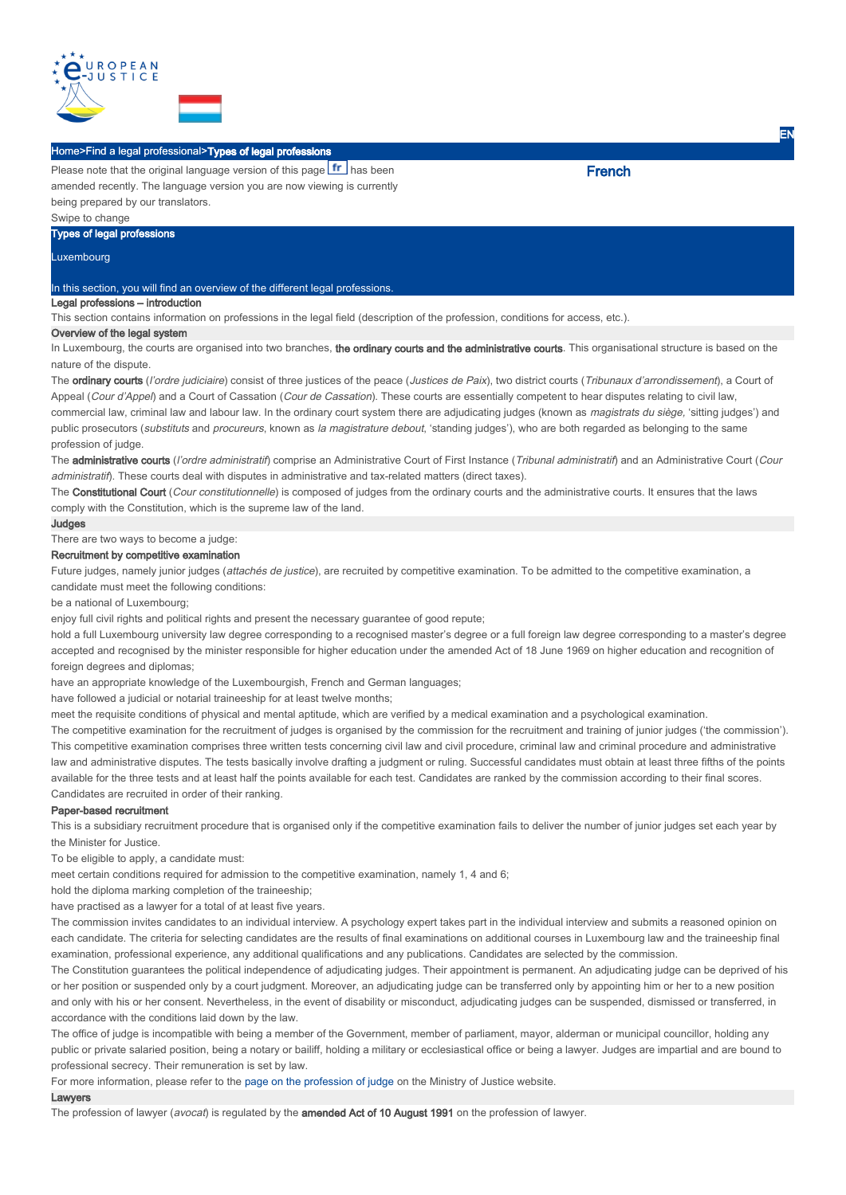

## Home>Find a legal professional>Types of legal professions

Please note that the original language version of this page **fr** has been amended recently. The language version you are now viewing is currently being prepared by our translators.

Swipe to change

# Types of legal professions

Luxembourg

## In this section, you will find an overview of the different legal professions.

# Legal professions – introduction

This section contains information on professions in the legal field (description of the profession, conditions for access, etc.).

### Overview of the legal system

In Luxembourg, the courts are organised into two branches, the ordinary courts and the administrative courts. This organisational structure is based on the nature of the dispute.

The ordinary courts (l'ordre judiciaire) consist of three justices of the peace (Justices de Paix), two district courts (Tribunaux d'arrondissement), a Court of Appeal (Cour d'Appel) and a Court of Cassation (Cour de Cassation). These courts are essentially competent to hear disputes relating to civil law, commercial law, criminal law and labour law. In the ordinary court system there are adjudicating judges (known as magistrats du siège, 'sitting judges') and public prosecutors (substituts and procureurs, known as la magistrature debout, 'standing judges'), who are both regarded as belonging to the same profession of judge.

The administrative courts (l'ordre administratif) comprise an Administrative Court of First Instance (Tribunal administratif) and an Administrative Court (Cour administratif). These courts deal with disputes in administrative and tax-related matters (direct taxes).

The Constitutional Court (Cour constitutionnelle) is composed of judges from the ordinary courts and the administrative courts. It ensures that the laws comply with the Constitution, which is the supreme law of the land.

#### Judges

There are two ways to become a judge:

# Recruitment by competitive examination

Future judges, namely junior judges (attachés de justice), are recruited by competitive examination. To be admitted to the competitive examination, a candidate must meet the following conditions:

be a national of Luxembourg;

enjoy full civil rights and political rights and present the necessary guarantee of good repute;

hold a full Luxembourg university law degree corresponding to a recognised master's degree or a full foreign law degree corresponding to a master's degree accepted and recognised by the minister responsible for higher education under the amended Act of 18 June 1969 on higher education and recognition of foreign degrees and diplomas;

have an appropriate knowledge of the Luxembourgish, French and German languages;

have followed a judicial or notarial traineeship for at least twelve months;

meet the requisite conditions of physical and mental aptitude, which are verified by a medical examination and a psychological examination.

The competitive examination for the recruitment of judges is organised by the commission for the recruitment and training of junior judges ('the commission'). This competitive examination comprises three written tests concerning civil law and civil procedure, criminal law and criminal procedure and administrative law and administrative disputes. The tests basically involve drafting a judgment or ruling. Successful candidates must obtain at least three fifths of the points available for the three tests and at least half the points available for each test. Candidates are ranked by the commission according to their final scores. Candidates are recruited in order of their ranking.

#### Paper-based recruitment

This is a subsidiary recruitment procedure that is organised only if the competitive examination fails to deliver the number of junior judges set each year by the Minister for Justice.

To be eligible to apply, a candidate must:

meet certain conditions required for admission to the competitive examination, namely 1, 4 and 6;

hold the diploma marking completion of the traineeship;

have practised as a lawyer for a total of at least five years.

The commission invites candidates to an individual interview. A psychology expert takes part in the individual interview and submits a reasoned opinion on each candidate. The criteria for selecting candidates are the results of final examinations on additional courses in Luxembourg law and the traineeship final examination, professional experience, any additional qualifications and any publications. Candidates are selected by the commission.

The Constitution guarantees the political independence of adjudicating judges. Their appointment is permanent. An adjudicating judge can be deprived of his or her position or suspended only by a court judgment. Moreover, an adjudicating judge can be transferred only by appointing him or her to a new position and only with his or her consent. Nevertheless, in the event of disability or misconduct, adjudicating judges can be suspended, dismissed or transferred, in accordance with the conditions laid down by the law.

The office of judge is incompatible with being a member of the Government, member of parliament, mayor, alderman or municipal councillor, holding any public or private salaried position, being a notary or bailiff, holding a military or ecclesiastical office or being a lawyer. Judges are impartial and are bound to professional secrecy. Their remuneration is set by law.

For more information, please refer to the page on the profession of judge on the Ministry of Justice website.

### Lawyers

The profession of lawyer (avocat) is regulated by the amended Act of 10 August 1991 on the profession of lawyer.

**French** 

EN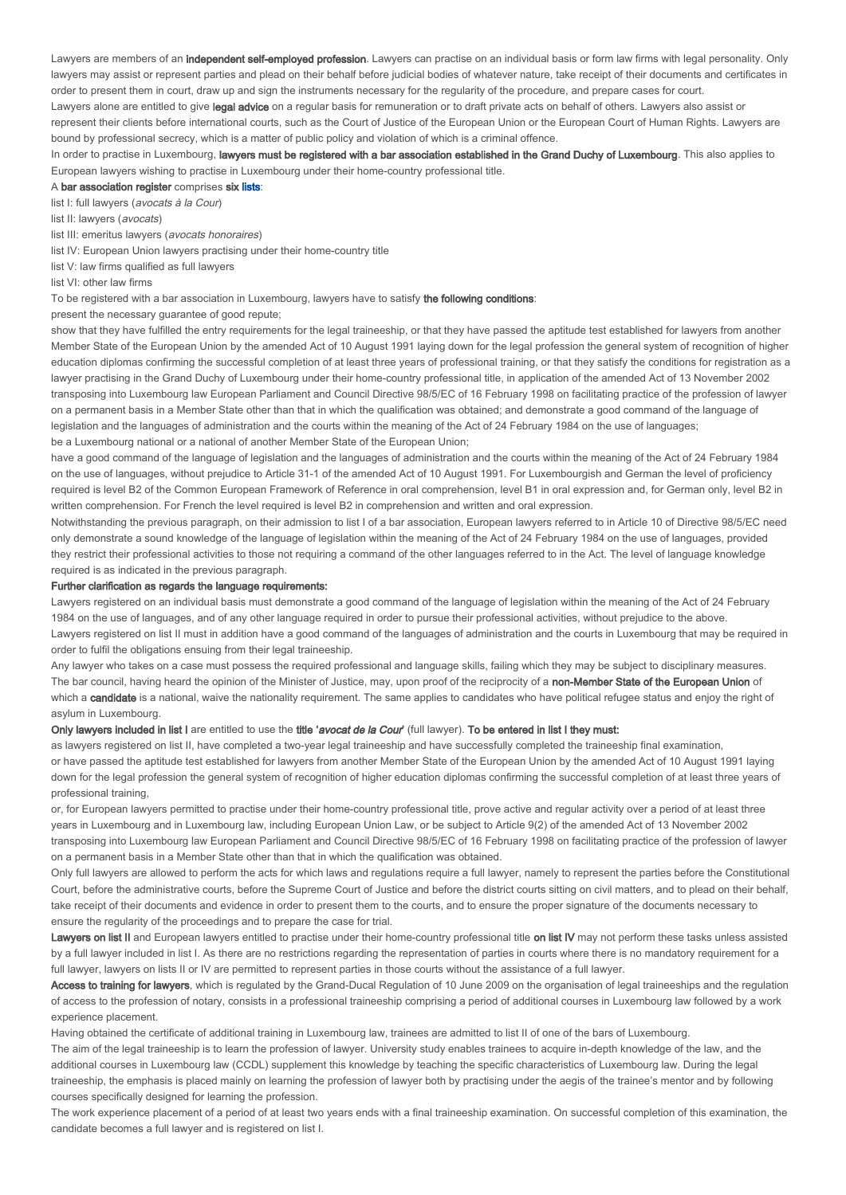Lawyers are members of an independent self-employed profession. Lawyers can practise on an individual basis or form law firms with legal personality. Only lawyers may assist or represent parties and plead on their behalf before judicial bodies of whatever nature, take receipt of their documents and certificates in order to present them in court, draw up and sign the instruments necessary for the regularity of the procedure, and prepare cases for court.

Lawyers alone are entitled to give legal advice on a regular basis for remuneration or to draft private acts on behalf of others. Lawyers also assist or represent their clients before international courts, such as the Court of Justice of the European Union or the European Court of Human Rights. Lawyers are bound by professional secrecy, which is a matter of public policy and violation of which is a criminal offence.

In order to practise in Luxembourg, lawyers must be registered with a bar association established in the Grand Duchy of Luxembourg. This also applies to European lawyers wishing to practise in Luxembourg under their home-country professional title.

#### A bar association register comprises six lists:

list I: full lawyers (avocats à la Cour)

list II: lawyers (avocats)

list III: emeritus lawyers (avocats honoraires)

list IV: European Union lawyers practising under their home-country title

list V: law firms qualified as full lawyers

list VI: other law firms

To be registered with a bar association in Luxembourg, lawyers have to satisfy the following conditions:

present the necessary guarantee of good repute;

show that they have fulfilled the entry requirements for the legal traineeship, or that they have passed the aptitude test established for lawyers from another Member State of the European Union by the amended Act of 10 August 1991 laying down for the legal profession the general system of recognition of higher education diplomas confirming the successful completion of at least three years of professional training, or that they satisfy the conditions for registration as a lawyer practising in the Grand Duchy of Luxembourg under their home-country professional title, in application of the amended Act of 13 November 2002 transposing into Luxembourg law European Parliament and Council Directive 98/5/EC of 16 February 1998 on facilitating practice of the profession of lawyer on a permanent basis in a Member State other than that in which the qualification was obtained; and demonstrate a good command of the language of legislation and the languages of administration and the courts within the meaning of the Act of 24 February 1984 on the use of languages; be a Luxembourg national or a national of another Member State of the European Union;

have a good command of the language of legislation and the languages of administration and the courts within the meaning of the Act of 24 February 1984 on the use of languages, without prejudice to Article 31-1 of the amended Act of 10 August 1991. For Luxembourgish and German the level of proficiency required is level B2 of the Common European Framework of Reference in oral comprehension, level B1 in oral expression and, for German only, level B2 in written comprehension. For French the level required is level B2 in comprehension and written and oral expression.

Notwithstanding the previous paragraph, on their admission to list I of a bar association, European lawyers referred to in Article 10 of Directive 98/5/EC need only demonstrate a sound knowledge of the language of legislation within the meaning of the Act of 24 February 1984 on the use of languages, provided they restrict their professional activities to those not requiring a command of the other languages referred to in the Act. The level of language knowledge required is as indicated in the previous paragraph.

### Further clarification as regards the language requirements:

Lawyers registered on an individual basis must demonstrate a good command of the language of legislation within the meaning of the Act of 24 February 1984 on the use of languages, and of any other language required in order to pursue their professional activities, without prejudice to the above. Lawyers registered on list II must in addition have a good command of the languages of administration and the courts in Luxembourg that may be required in order to fulfil the obligations ensuing from their legal traineeship.

Any lawyer who takes on a case must possess the required professional and language skills, failing which they may be subject to disciplinary measures. The bar council, having heard the opinion of the Minister of Justice, may, upon proof of the reciprocity of a non-Member State of the European Union of which a candidate is a national, waive the nationality requirement. The same applies to candidates who have political refugee status and enjoy the right of asylum in Luxembourg.

### Only lawyers included in list I are entitled to use the title 'avocat de la Cour' (full lawyer). To be entered in list I they must:

as lawyers registered on list II, have completed a two-year legal traineeship and have successfully completed the traineeship final examination, or have passed the aptitude test established for lawyers from another Member State of the European Union by the amended Act of 10 August 1991 laying down for the legal profession the general system of recognition of higher education diplomas confirming the successful completion of at least three years of professional training,

or, for European lawyers permitted to practise under their home-country professional title, prove active and regular activity over a period of at least three years in Luxembourg and in Luxembourg law, including European Union Law, or be subject to Article 9(2) of the amended Act of 13 November 2002 transposing into Luxembourg law European Parliament and Council Directive 98/5/EC of 16 February 1998 on facilitating practice of the profession of lawyer on a permanent basis in a Member State other than that in which the qualification was obtained.

Only full lawyers are allowed to perform the acts for which laws and regulations require a full lawyer, namely to represent the parties before the Constitutional Court, before the administrative courts, before the Supreme Court of Justice and before the district courts sitting on civil matters, and to plead on their behalf, take receipt of their documents and evidence in order to present them to the courts, and to ensure the proper signature of the documents necessary to ensure the regularity of the proceedings and to prepare the case for trial.

Lawvers on list II and European lawyers entitled to practise under their home-country professional title on list IV may not perform these tasks unless assisted by a full lawyer included in list I. As there are no restrictions regarding the representation of parties in courts where there is no mandatory requirement for a full lawyer, lawyers on lists II or IV are permitted to represent parties in those courts without the assistance of a full lawyer.

Access to training for lawyers, which is regulated by the Grand-Ducal Regulation of 10 June 2009 on the organisation of legal traineeships and the regulation of access to the profession of notary, consists in a professional traineeship comprising a period of additional courses in Luxembourg law followed by a work experience placement.

Having obtained the certificate of additional training in Luxembourg law, trainees are admitted to list II of one of the bars of Luxembourg.

The aim of the legal traineeship is to learn the profession of lawyer. University study enables trainees to acquire in-depth knowledge of the law, and the additional courses in Luxembourg law (CCDL) supplement this knowledge by teaching the specific characteristics of Luxembourg law. During the legal traineeship, the emphasis is placed mainly on learning the profession of lawyer both by practising under the aegis of the trainee's mentor and by following courses specifically designed for learning the profession.

The work experience placement of a period of at least two years ends with a final traineeship examination. On successful completion of this examination, the candidate becomes a full lawyer and is registered on list I.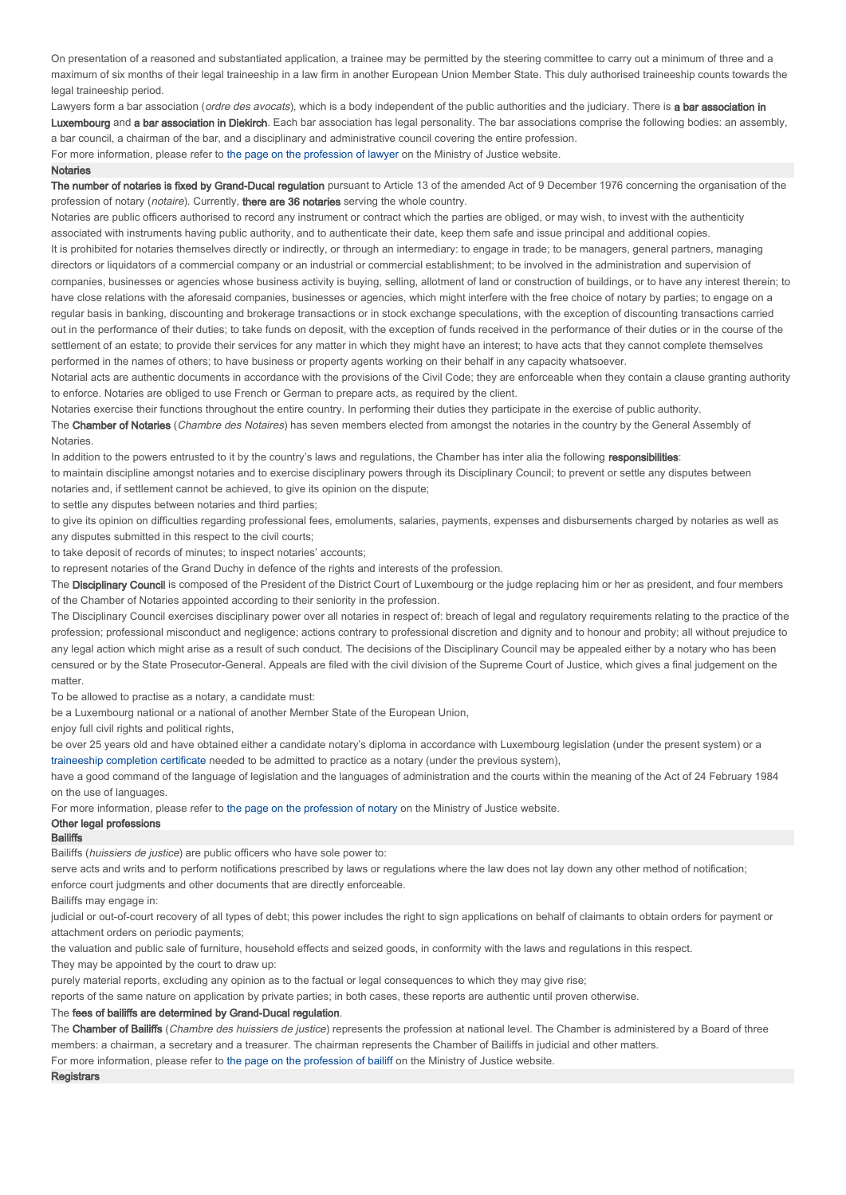On presentation of a reasoned and substantiated application, a trainee may be permitted by the steering committee to carry out a minimum of three and a maximum of six months of their legal traineeship in a law firm in another European Union Member State. This duly authorised traineeship counts towards the legal traineeship period.

Lawyers form a bar association (ordre des avocats), which is a body independent of the public authorities and the judiciary. There is a bar association in Luxembourg and a bar association in Diekirch. Each bar association has legal personality. The bar associations comprise the following bodies: an assembly, a bar council, a chairman of the bar, and a disciplinary and administrative council covering the entire profession.

For more information, please refer to the page on the profession of lawyer on the Ministry of Justice website.

#### **Notaries**

The number of notaries is fixed by Grand-Ducal regulation pursuant to Article 13 of the amended Act of 9 December 1976 concerning the organisation of the profession of notary (notaire). Currently, there are 36 notaries serving the whole country.

Notaries are public officers authorised to record any instrument or contract which the parties are obliged, or may wish, to invest with the authenticity associated with instruments having public authority, and to authenticate their date, keep them safe and issue principal and additional copies. It is prohibited for notaries themselves directly or indirectly, or through an intermediary: to engage in trade; to be managers, general partners, managing directors or liquidators of a commercial company or an industrial or commercial establishment; to be involved in the administration and supervision of companies, businesses or agencies whose business activity is buying, selling, allotment of land or construction of buildings, or to have any interest therein; to have close relations with the aforesaid companies, businesses or agencies, which might interfere with the free choice of notary by parties; to engage on a regular basis in banking, discounting and brokerage transactions or in stock exchange speculations, with the exception of discounting transactions carried out in the performance of their duties; to take funds on deposit, with the exception of funds received in the performance of their duties or in the course of the settlement of an estate; to provide their services for any matter in which they might have an interest; to have acts that they cannot complete themselves performed in the names of others; to have business or property agents working on their behalf in any capacity whatsoever.

Notarial acts are authentic documents in accordance with the provisions of the Civil Code; they are enforceable when they contain a clause granting authority to enforce. Notaries are obliged to use French or German to prepare acts, as required by the client.

Notaries exercise their functions throughout the entire country. In performing their duties they participate in the exercise of public authority.

The Chamber of Notaries (Chambre des Notaires) has seven members elected from amongst the notaries in the country by the General Assembly of Notaries.

In addition to the powers entrusted to it by the country's laws and regulations, the Chamber has inter alia the following responsibilities:

to maintain discipline amongst notaries and to exercise disciplinary powers through its Disciplinary Council; to prevent or settle any disputes between notaries and, if settlement cannot be achieved, to give its opinion on the dispute;

to settle any disputes between notaries and third parties;

to give its opinion on difficulties regarding professional fees, emoluments, salaries, payments, expenses and disbursements charged by notaries as well as any disputes submitted in this respect to the civil courts;

to take deposit of records of minutes; to inspect notaries' accounts;

to represent notaries of the Grand Duchy in defence of the rights and interests of the profession.

The Disciplinary Council is composed of the President of the District Court of Luxembourg or the judge replacing him or her as president, and four members of the Chamber of Notaries appointed according to their seniority in the profession.

The Disciplinary Council exercises disciplinary power over all notaries in respect of: breach of legal and regulatory requirements relating to the practice of the profession; professional misconduct and negligence; actions contrary to professional discretion and dignity and to honour and probity; all without prejudice to any legal action which might arise as a result of such conduct. The decisions of the Disciplinary Council may be appealed either by a notary who has been censured or by the State Prosecutor-General. Appeals are filed with the civil division of the Supreme Court of Justice, which gives a final judgement on the matter

To be allowed to practise as a notary, a candidate must:

be a Luxembourg national or a national of another Member State of the European Union,

enjoy full civil rights and political rights,

be over 25 years old and have obtained either a candidate notary's diploma in accordance with Luxembourg legislation (under the present system) or a traineeship completion certificate needed to be admitted to practice as a notary (under the previous system),

have a good command of the language of legislation and the languages of administration and the courts within the meaning of the Act of 24 February 1984 on the use of languages.

For more information, please refer to the page on the profession of notary on the Ministry of Justice website.

# Other legal professions

## **Bailiffs**

Bailiffs (huissiers de justice) are public officers who have sole power to:

serve acts and writs and to perform notifications prescribed by laws or regulations where the law does not lay down any other method of notification; enforce court judgments and other documents that are directly enforceable.

Bailiffs may engage in:

judicial or out-of-court recovery of all types of debt; this power includes the right to sign applications on behalf of claimants to obtain orders for payment or attachment orders on periodic payments;

the valuation and public sale of furniture, household effects and seized goods, in conformity with the laws and regulations in this respect.

They may be appointed by the court to draw up:

purely material reports, excluding any opinion as to the factual or legal consequences to which they may give rise;

reports of the same nature on application by private parties; in both cases, these reports are authentic until proven otherwise.

## The fees of bailiffs are determined by Grand-Ducal regulation.

The Chamber of Bailiffs (Chambre des huissiers de justice) represents the profession at national level. The Chamber is administered by a Board of three members: a chairman, a secretary and a treasurer. The chairman represents the Chamber of Bailiffs in judicial and other matters. For more information, please refer to the page on the profession of bailiff on the Ministry of Justice website.

#### **Registrars**